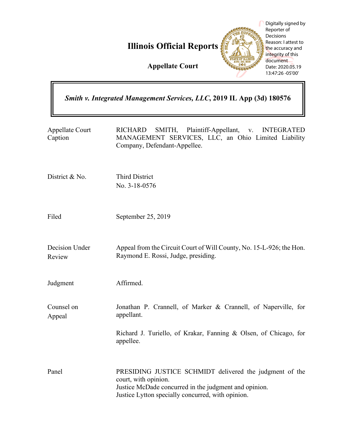

|                                                                       | Digitally signed by<br>Reporter of<br><b>Decisions</b><br>Reason: Lattest to<br><b>Illinois Official Reports</b><br>the accuracy and<br>integrity of this<br>document<br><b>Appellate Court</b><br>Date: 2020.05.19<br>13:47:26 -05'00' |
|-----------------------------------------------------------------------|-----------------------------------------------------------------------------------------------------------------------------------------------------------------------------------------------------------------------------------------|
| Smith v. Integrated Management Services, LLC, 2019 IL App (3d) 180576 |                                                                                                                                                                                                                                         |
| Appellate Court<br>Caption                                            | SMITH,<br>Plaintiff-Appellant,<br><b>RICHARD</b><br><b>INTEGRATED</b><br>V.<br>MANAGEMENT SERVICES, LLC, an Ohio Limited Liability<br>Company, Defendant-Appellee.                                                                      |
| District & No.                                                        | <b>Third District</b><br>No. 3-18-0576                                                                                                                                                                                                  |
| Filed                                                                 | September 25, 2019                                                                                                                                                                                                                      |
| Decision Under<br>Review                                              | Appeal from the Circuit Court of Will County, No. 15-L-926; the Hon.<br>Raymond E. Rossi, Judge, presiding.                                                                                                                             |
| Judgment                                                              | Affirmed.                                                                                                                                                                                                                               |
| Counsel on<br>Appeal                                                  | Jonathan P. Crannell, of Marker & Crannell, of Naperville, for<br>appellant.                                                                                                                                                            |
|                                                                       | Richard J. Turiello, of Krakar, Fanning & Olsen, of Chicago, for<br>appellee.                                                                                                                                                           |
| Panel                                                                 | PRESIDING JUSTICE SCHMIDT delivered the judgment of the<br>court, with opinion.<br>Justice McDade concurred in the judgment and opinion.<br>Justice Lytton specially concurred, with opinion.                                           |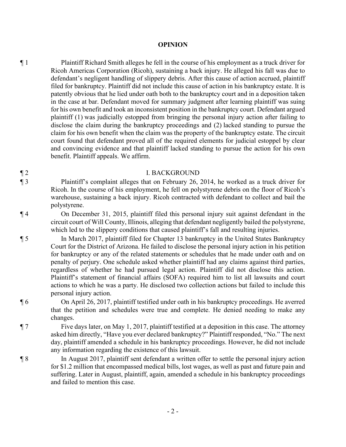## **OPINION**

¶ 1 Plaintiff Richard Smith alleges he fell in the course of his employment as a truck driver for Ricoh Americas Corporation (Ricoh), sustaining a back injury. He alleged his fall was due to defendant's negligent handling of slippery debris. After this cause of action accrued, plaintiff filed for bankruptcy. Plaintiff did not include this cause of action in his bankruptcy estate. It is patently obvious that he lied under oath both to the bankruptcy court and in a deposition taken in the case at bar. Defendant moved for summary judgment after learning plaintiff was suing for his own benefit and took an inconsistent position in the bankruptcy court. Defendant argued plaintiff (1) was judicially estopped from bringing the personal injury action after failing to disclose the claim during the bankruptcy proceedings and (2) lacked standing to pursue the claim for his own benefit when the claim was the property of the bankruptcy estate. The circuit court found that defendant proved all of the required elements for judicial estoppel by clear and convincing evidence and that plaintiff lacked standing to pursue the action for his own benefit. Plaintiff appeals. We affirm.

## ¶ 2 I. BACKGROUND

¶ 3 Plaintiff's complaint alleges that on February 26, 2014, he worked as a truck driver for Ricoh. In the course of his employment, he fell on polystyrene debris on the floor of Ricoh's warehouse, sustaining a back injury. Ricoh contracted with defendant to collect and bail the polystyrene.

¶ 4 On December 31, 2015, plaintiff filed this personal injury suit against defendant in the circuit court of Will County, Illinois, alleging that defendant negligently bailed the polystyrene, which led to the slippery conditions that caused plaintiff's fall and resulting injuries.

¶ 5 In March 2017, plaintiff filed for Chapter 13 bankruptcy in the United States Bankruptcy Court for the District of Arizona. He failed to disclose the personal injury action in his petition for bankruptcy or any of the related statements or schedules that he made under oath and on penalty of perjury. One schedule asked whether plaintiff had any claims against third parties, regardless of whether he had pursued legal action. Plaintiff did not disclose this action. Plaintiff's statement of financial affairs (SOFA) required him to list all lawsuits and court actions to which he was a party. He disclosed two collection actions but failed to include this personal injury action.

¶ 6 On April 26, 2017, plaintiff testified under oath in his bankruptcy proceedings. He averred that the petition and schedules were true and complete. He denied needing to make any changes.

¶ 7 Five days later, on May 1, 2017, plaintiff testified at a deposition in this case. The attorney asked him directly, "Have you ever declared bankruptcy?" Plaintiff responded, "No." The next day, plaintiff amended a schedule in his bankruptcy proceedings. However, he did not include any information regarding the existence of this lawsuit.

¶ 8 In August 2017, plaintiff sent defendant a written offer to settle the personal injury action for \$1.2 million that encompassed medical bills, lost wages, as well as past and future pain and suffering. Later in August, plaintiff, again, amended a schedule in his bankruptcy proceedings and failed to mention this case.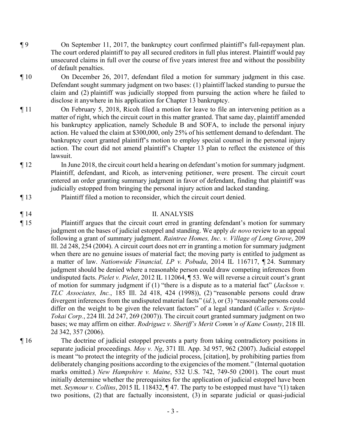- ¶ 9 On September 11, 2017, the bankruptcy court confirmed plaintiff's full-repayment plan. The court ordered plaintiff to pay all secured creditors in full plus interest. Plaintiff would pay unsecured claims in full over the course of five years interest free and without the possibility of default penalties.
- ¶ 10 On December 26, 2017, defendant filed a motion for summary judgment in this case. Defendant sought summary judgment on two bases: (1) plaintiff lacked standing to pursue the claim and (2) plaintiff was judicially stopped from pursuing the action where he failed to disclose it anywhere in his application for Chapter 13 bankruptcy.
- ¶ 11 On February 5, 2018, Ricoh filed a motion for leave to file an intervening petition as a matter of right, which the circuit court in this matter granted. That same day, plaintiff amended his bankruptcy application, namely Schedule B and SOFA, to include the personal injury action. He valued the claim at \$300,000, only 25% of his settlement demand to defendant. The bankruptcy court granted plaintiff's motion to employ special counsel in the personal injury action. The court did not amend plaintiff's Chapter 13 plan to reflect the existence of this lawsuit.
- ¶ 12 In June 2018, the circuit court held a hearing on defendant's motion for summary judgment. Plaintiff, defendant, and Ricoh, as intervening petitioner, were present. The circuit court entered an order granting summary judgment in favor of defendant, finding that plaintiff was judicially estopped from bringing the personal injury action and lacked standing.
- ¶ 13 Plaintiff filed a motion to reconsider, which the circuit court denied.

## ¶ 14 II. ANALYSIS

- ¶ 15 Plaintiff argues that the circuit court erred in granting defendant's motion for summary judgment on the bases of judicial estoppel and standing. We apply *de novo* review to an appeal following a grant of summary judgment. *Raintree Homes, Inc. v. Village of Long Grove*, 209 Ill. 2d 248, 254 (2004). A circuit court does not err in granting a motion for summary judgment when there are no genuine issues of material fact; the moving party is entitled to judgment as a matter of law. *Nationwide Financial, LP v. Pobuda*, 2014 IL 116717, ¶ 24. Summary judgment should be denied where a reasonable person could draw competing inferences from undisputed facts. *Pielet v. Pielet*, 2012 IL 112064, ¶ 53. We will reverse a circuit court's grant of motion for summary judgment if (1) "there is a dispute as to a material fact" (*Jackson v. TLC Associates, Inc.*, 185 Ill. 2d 418, 424 (1998)), (2) "reasonable persons could draw divergent inferences from the undisputed material facts" (*id.*), or (3) "reasonable persons could differ on the weight to be given the relevant factors" of a legal standard (*Calles v. Scripto-Tokai Corp.*, 224 Ill. 2d 247, 269 (2007)). The circuit court granted summary judgment on two bases; we may affirm on either. *Rodriguez v. Sheriff's Merit Comm'n of Kane County*, 218 Ill. 2d 342, 357 (2006).
- 

¶ 16 The doctrine of judicial estoppel prevents a party from taking contradictory positions in separate judicial proceedings. *Moy v. Ng*, 371 Ill. App. 3d 957, 962 (2007). Judicial estoppel is meant "to protect the integrity of the judicial process, [citation], by prohibiting parties from deliberately changing positions according to the exigencies of the moment." (Internal quotation marks omitted.) *New Hampshire v. Maine*, 532 U.S. 742, 749-50 (2001). The court must initially determine whether the prerequisites for the application of judicial estoppel have been met. *Seymour v. Collins*, 2015 IL 118432, ¶ 47. The party to be estopped must have "(1) taken two positions, (2) that are factually inconsistent, (3) in separate judicial or quasi-judicial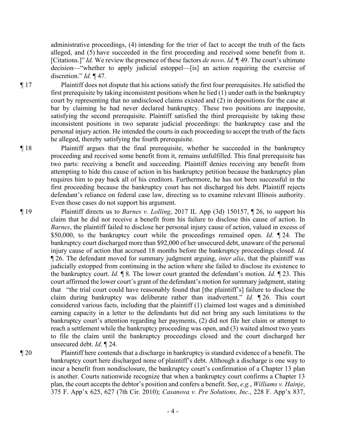administrative proceedings, (4) intending for the trier of fact to accept the truth of the facts alleged, and (5) have succeeded in the first proceeding and received some benefit from it. [Citations.]" *Id.* We review the presence of these factors *de novo*. *Id.* ¶ 49. The court's ultimate decision—"whether to apply judicial estoppel—[is] an action requiring the exercise of discretion." *Id.* ¶ 47.

¶ 17 Plaintiff does not dispute that his actions satisfy the first four prerequisites. He satisfied the first prerequisite by taking inconsistent positions when he lied (1) under oath in the bankruptcy court by representing that no undisclosed claims existed and (2) in depositions for the case at bar by claiming he had never declared bankruptcy. These two positions are inapposite, satisfying the second prerequisite. Plaintiff satisfied the third prerequisite by taking these inconsistent positions in two separate judicial proceedings: the bankruptcy case and the personal injury action. He intended the courts in each proceeding to accept the truth of the facts he alleged, thereby satisfying the fourth prerequisite.

¶ 18 Plaintiff argues that the final prerequisite, whether he succeeded in the bankruptcy proceeding and received some benefit from it, remains unfulfilled. This final prerequisite has two parts: receiving a benefit and succeeding. Plaintiff denies receiving any benefit from attempting to hide this cause of action in his bankruptcy petition because the bankruptcy plan requires him to pay back all of his creditors. Furthermore, he has not been successful in the first proceeding because the bankruptcy court has not discharged his debt. Plaintiff rejects defendant's reliance on federal case law, directing us to examine relevant Illinois authority. Even those cases do not support his argument.

¶ 19 Plaintiff directs us to *Barnes v. Lolling*, 2017 IL App (3d) 150157, ¶ 26, to support his claim that he did not receive a benefit from his failure to disclose this cause of action. In *Barnes*, the plaintiff failed to disclose her personal injury cause of action, valued in excess of \$50,000, to the bankruptcy court while the proceedings remained open. *Id.* ¶ 24. The bankruptcy court discharged more than \$92,000 of her unsecured debt, unaware of the personal injury cause of action that accrued 18 months before the bankruptcy proceedings closed. *Id.* ¶ 26. The defendant moved for summary judgment arguing, *inter alia*, that the plaintiff was judicially estopped from continuing in the action where she failed to disclose its existence to the bankruptcy court. *Id.* ¶ 8. The lower court granted the defendant's motion. *Id.* ¶ 23. This court affirmed the lower court's grant of the defendant's motion for summary judgment, stating that "the trial court could have reasonably found that [the plaintiff's] failure to disclose the claim during bankruptcy was deliberate rather than inadvertent." *Id.* ¶ 26. This court considered various facts, including that the plaintiff (1) claimed lost wages and a diminished earning capacity in a letter to the defendants but did not bring any such limitations to the bankruptcy court's attention regarding her payments, (2) did not file her claim or attempt to reach a settlement while the bankruptcy proceeding was open, and (3) waited almost two years to file the claim until the bankruptcy proceedings closed and the court discharged her unsecured debt. *Id.* ¶ 24.

¶ 20 Plaintiff here contends that a discharge in bankruptcy is standard evidence of a benefit. The bankruptcy court here discharged none of plaintiff's debt. Although a discharge is one way to incur a benefit from nondisclosure, the bankruptcy court's confirmation of a Chapter 13 plan is another. Courts nationwide recognize that when a bankruptcy court confirms a Chapter 13 plan, the court accepts the debtor's position and confers a benefit. See, *e.g.*, *Williams v. Hainje*, 375 F. App'x 625, 627 (7th Cir. 2010); *Casanova v. Pre Solutions, Inc.*, 228 F. App'x 837,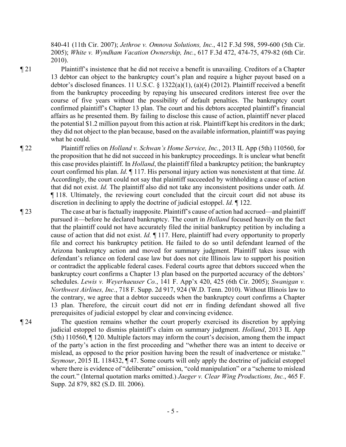840-41 (11th Cir. 2007); *Jethroe v. Omnova Solutions, Inc.*, 412 F.3d 598, 599-600 (5th Cir. 2005); *White v. Wyndham Vacation Ownership, Inc.*, 617 F.3d 472, 474-75, 479-82 (6th Cir. 2010).

¶ 21 Plaintiff's insistence that he did not receive a benefit is unavailing. Creditors of a Chapter 13 debtor can object to the bankruptcy court's plan and require a higher payout based on a debtor's disclosed finances. 11 U.S.C. § 1322(a)(1), (a)(4) (2012). Plaintiff received a benefit from the bankruptcy proceeding by repaying his unsecured creditors interest free over the course of five years without the possibility of default penalties. The bankruptcy court confirmed plaintiff's Chapter 13 plan. The court and his debtors accepted plaintiff's financial affairs as he presented them. By failing to disclose this cause of action, plaintiff never placed the potential \$1.2 million payout from this action at risk. Plaintiff kept his creditors in the dark; they did not object to the plan because, based on the available information, plaintiff was paying what he could.

¶ 22 Plaintiff relies on *Holland v. Schwan's Home Service, Inc.*, 2013 IL App (5th) 110560, for the proposition that he did not succeed in his bankruptcy proceedings. It is unclear what benefit this case provides plaintiff. In *Holland*, the plaintiff filed a bankruptcy petition; the bankruptcy court confirmed his plan. *Id.* ¶ 117. His personal injury action was nonexistent at that time. *Id.* Accordingly, the court could not say that plaintiff succeeded by withholding a cause of action that did not exist. *Id.* The plaintiff also did not take any inconsistent positions under oath. *Id.* ¶ 118. Ultimately, the reviewing court concluded that the circuit court did not abuse its discretion in declining to apply the doctrine of judicial estoppel. *Id.* ¶ 122.

¶ 23 The case at bar is factually inapposite. Plaintiff's cause of action had accrued—and plaintiff pursued it—before he declared bankruptcy. The court in *Holland* focused heavily on the fact that the plaintiff could not have accurately filed the initial bankruptcy petition by including a cause of action that did not exist. *Id.* ¶ 117. Here, plaintiff had every opportunity to properly file and correct his bankruptcy petition. He failed to do so until defendant learned of the Arizona bankruptcy action and moved for summary judgment. Plaintiff takes issue with defendant's reliance on federal case law but does not cite Illinois law to support his position or contradict the applicable federal cases. Federal courts agree that debtors succeed when the bankruptcy court confirms a Chapter 13 plan based on the purported accuracy of the debtors' schedules. *Lewis v. Weyerhaeuser Co.*, 141 F. App'x 420, 425 (6th Cir. 2005); *Swanigan v. Northwest Airlines, Inc.*, 718 F. Supp. 2d 917, 924 (W.D. Tenn. 2010). Without Illinois law to the contrary, we agree that a debtor succeeds when the bankruptcy court confirms a Chapter 13 plan. Therefore, the circuit court did not err in finding defendant showed all five prerequisites of judicial estoppel by clear and convincing evidence.

¶ 24 The question remains whether the court properly exercised its discretion by applying judicial estoppel to dismiss plaintiff's claim on summary judgment. *Holland*, 2013 IL App (5th) 110560, ¶ 120. Multiple factors may inform the court's decision, among them the impact of the party's action in the first proceeding and "whether there was an intent to deceive or mislead, as opposed to the prior position having been the result of inadvertence or mistake." *Seymour*, 2015 IL 118432, ¶ 47. Some courts will only apply the doctrine of judicial estoppel where there is evidence of "deliberate" omission, "cold manipulation" or a "scheme to mislead the court." (Internal quotation marks omitted.) *Jaeger v. Clear Wing Productions, Inc.*, 465 F. Supp. 2d 879, 882 (S.D. Ill. 2006).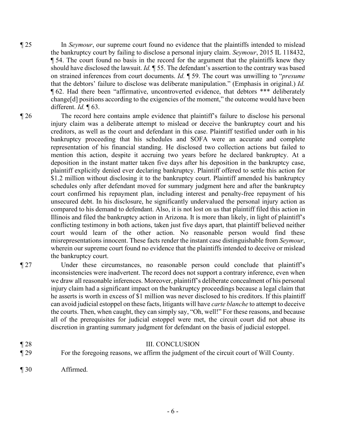- ¶ 25 In *Seymour*, our supreme court found no evidence that the plaintiffs intended to mislead the bankruptcy court by failing to disclose a personal injury claim. *Seymour*, 2015 IL 118432, ¶ 54. The court found no basis in the record for the argument that the plaintiffs knew they should have disclosed the lawsuit. *Id.* ¶ 55. The defendant's assertion to the contrary was based on strained inferences from court documents. *Id.* ¶ 59. The court was unwilling to "*presume* that the debtors' failure to disclose was deliberate manipulation." (Emphasis in original.) *Id.*  ¶ 62. Had there been "affirmative, uncontroverted evidence, that debtors \*\*\* deliberately change[d] positions according to the exigencies of the moment," the outcome would have been different. *Id.* ¶ 63.
- 

¶ 26 The record here contains ample evidence that plaintiff's failure to disclose his personal injury claim was a deliberate attempt to mislead or deceive the bankruptcy court and his creditors, as well as the court and defendant in this case. Plaintiff testified under oath in his bankruptcy proceeding that his schedules and SOFA were an accurate and complete representation of his financial standing. He disclosed two collection actions but failed to mention this action, despite it accruing two years before he declared bankruptcy. At a deposition in the instant matter taken five days after his deposition in the bankruptcy case, plaintiff explicitly denied ever declaring bankruptcy. Plaintiff offered to settle this action for \$1.2 million without disclosing it to the bankruptcy court. Plaintiff amended his bankruptcy schedules only after defendant moved for summary judgment here and after the bankruptcy court confirmed his repayment plan, including interest and penalty-free repayment of his unsecured debt. In his disclosure, he significantly undervalued the personal injury action as compared to his demand to defendant. Also, it is not lost on us that plaintiff filed this action in Illinois and filed the bankruptcy action in Arizona. It is more than likely, in light of plaintiff's conflicting testimony in both actions, taken just five days apart, that plaintiff believed neither court would learn of the other action. No reasonable person would find these misrepresentations innocent. These facts render the instant case distinguishable from *Seymour*, wherein our supreme court found no evidence that the plaintiffs intended to deceive or mislead the bankruptcy court.

¶ 27 Under these circumstances, no reasonable person could conclude that plaintiff's inconsistencies were inadvertent. The record does not support a contrary inference, even when we draw all reasonable inferences. Moreover, plaintiff's deliberate concealment of his personal injury claim had a significant impact on the bankruptcy proceedings because a legal claim that he asserts is worth in excess of \$1 million was never disclosed to his creditors. If this plaintiff can avoid judicial estoppel on these facts, litigants will have *carte blanche* to attempt to deceive the courts. Then, when caught, they can simply say, "Oh, well!" For these reasons, and because all of the prerequisites for judicial estoppel were met, the circuit court did not abuse its discretion in granting summary judgment for defendant on the basis of judicial estoppel.

## ¶ 28 III. CONCLUSION

- ¶ 29 For the foregoing reasons, we affirm the judgment of the circuit court of Will County.
- ¶ 30 Affirmed.